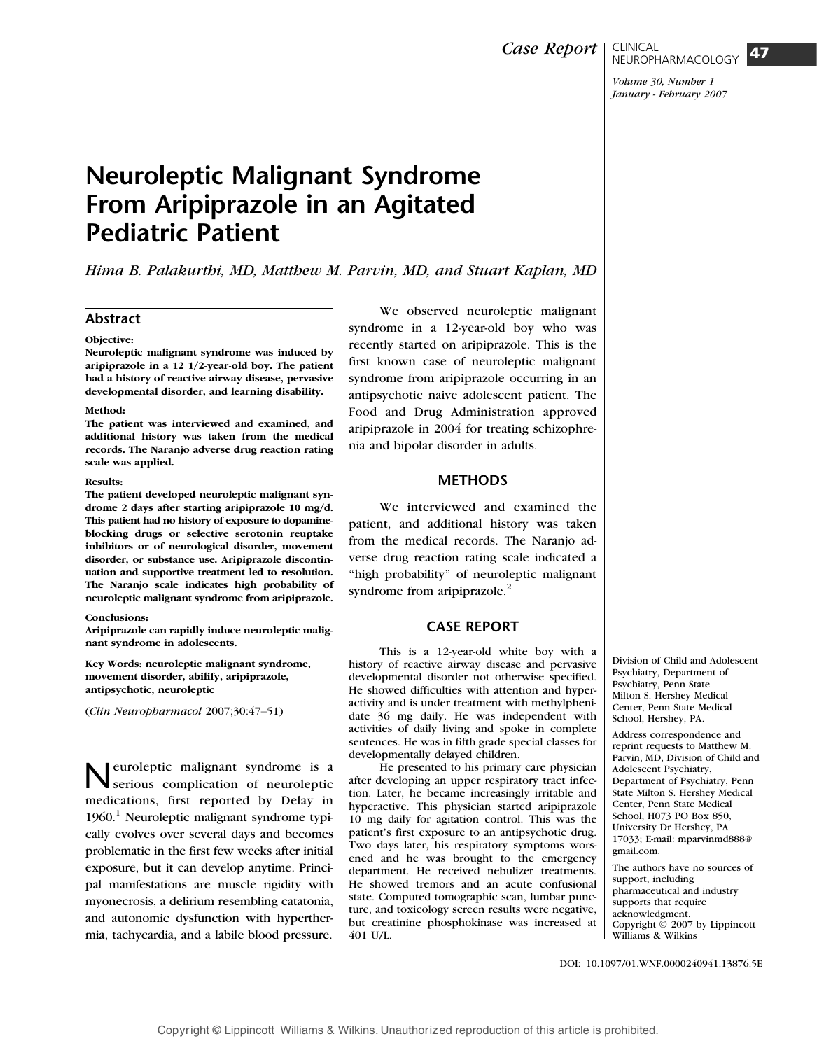# Neuroleptic Malignant Syndrome From Aripiprazole in an Agitated Pediatric Patient

Hima B. Palakurthi, MD, Matthew M. Parvin, MD, and Stuart Kaplan, MD

# Abstract

## Objective:

Neuroleptic malignant syndrome was induced by aripiprazole in a 12 1/2-year-old boy. The patient had a history of reactive airway disease, pervasive developmental disorder, and learning disability.

#### Method:

The patient was interviewed and examined, and additional history was taken from the medical records. The Naranjo adverse drug reaction rating scale was applied.

#### Results:

The patient developed neuroleptic malignant syndrome 2 days after starting aripiprazole 10 mg/d. This patient had no history of exposure to dopamineblocking drugs or selective serotonin reuptake inhibitors or of neurological disorder, movement disorder, or substance use. Aripiprazole discontinuation and supportive treatment led to resolution. The Naranjo scale indicates high probability of neuroleptic malignant syndrome from aripiprazole.

#### Conclusions:

Aripiprazole can rapidly induce neuroleptic malignant syndrome in adolescents.

Key Words: neuroleptic malignant syndrome, movement disorder, abilify, aripiprazole, antipsychotic, neuroleptic

 $(Clin \text{ Neuro}$  Neuropharmacol 2007;30:47-51)

**Neuroleptic malignant syndrome is a** serious complication of neuroleptic medications, first reported by Delay in  $1960<sup>1</sup>$  Neuroleptic malignant syndrome typically evolves over several days and becomes problematic in the first few weeks after initial exposure, but it can develop anytime. Principal manifestations are muscle rigidity with myonecrosis, a delirium resembling catatonia, and autonomic dysfunction with hyperthermia, tachycardia, and a labile blood pressure.

We observed neuroleptic malignant syndrome in a 12-year-old boy who was recently started on aripiprazole. This is the first known case of neuroleptic malignant syndrome from aripiprazole occurring in an antipsychotic naive adolescent patient. The Food and Drug Administration approved aripiprazole in 2004 for treating schizophrenia and bipolar disorder in adults.

# **METHODS**

We interviewed and examined the patient, and additional history was taken from the medical records. The Naranjo adverse drug reaction rating scale indicated a ''high probability'' of neuroleptic malignant syndrome from aripiprazole. $^{2}$ 

# CASE REPORT

This is a 12-year-old white boy with a history of reactive airway disease and pervasive developmental disorder not otherwise specified. He showed difficulties with attention and hyperactivity and is under treatment with methylphenidate 36 mg daily. He was independent with activities of daily living and spoke in complete sentences. He was in fifth grade special classes for developmentally delayed children.

He presented to his primary care physician after developing an upper respiratory tract infection. Later, he became increasingly irritable and hyperactive. This physician started aripiprazole 10 mg daily for agitation control. This was the patient's first exposure to an antipsychotic drug. Two days later, his respiratory symptoms worsened and he was brought to the emergency department. He received nebulizer treatments. He showed tremors and an acute confusional state. Computed tomographic scan, lumbar puncture, and toxicology screen results were negative, but creatinine phosphokinase was increased at 401 U/L.

Division of Child and Adolescent Psychiatry, Department of Psychiatry, Penn State Milton S. Hershey Medical Center, Penn State Medical School, Hershey, PA.

Address correspondence and reprint requests to Matthew M. Parvin, MD, Division of Child and Adolescent Psychiatry, Department of Psychiatry, Penn State Milton S. Hershey Medical Center, Penn State Medical School, H073 PO Box 850, University Dr Hershey, PA 17033; E-mail: mparvinmd888@ gmail.com.

The authors have no sources of support, including pharmaceutical and industry supports that require acknowledgment. Copyright  $\ddot{\odot}$  2007 by Lippincott Williams & Wilkins

DOI: 10.1097/01.WNF.0000240941.13876.5E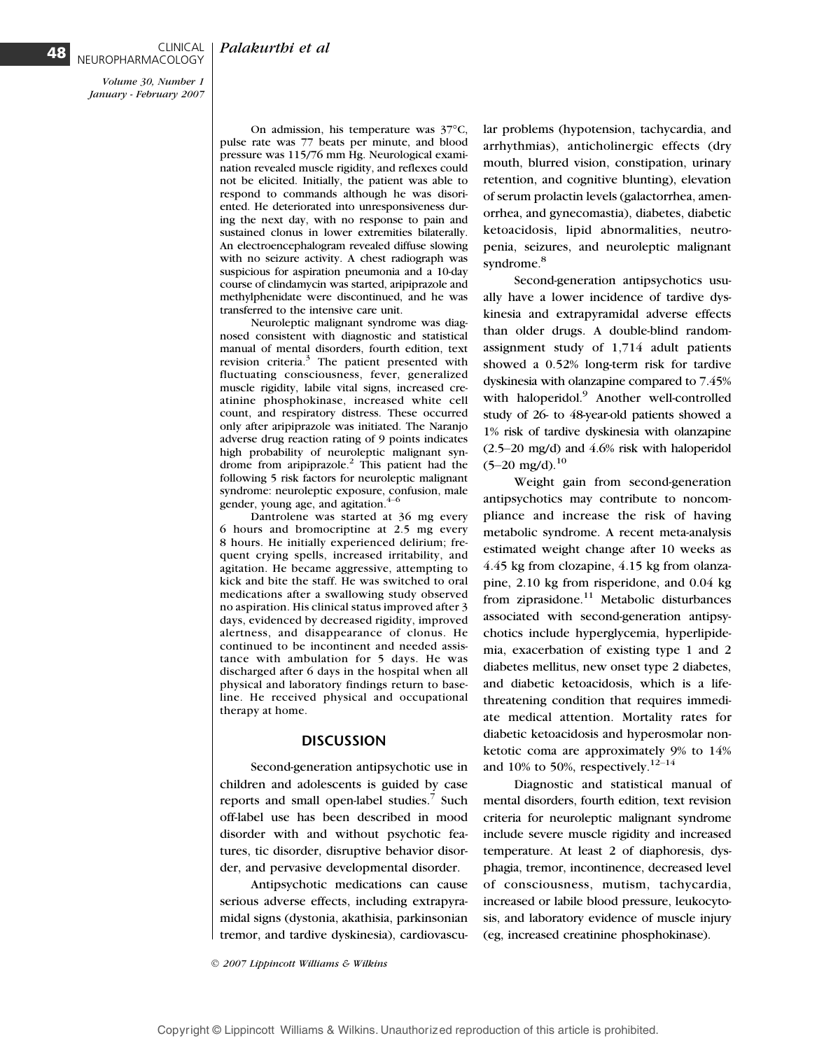Volume 30, Number 1 January - February 2007

NEUROPHARMACOLOGY

CLINICAL

On admission, his temperature was  $37^{\circ}$ C, pulse rate was 77 beats per minute, and blood pressure was 115/76 mm Hg. Neurological examination revealed muscle rigidity, and reflexes could not be elicited. Initially, the patient was able to respond to commands although he was disoriented. He deteriorated into unresponsiveness during the next day, with no response to pain and sustained clonus in lower extremities bilaterally. An electroencephalogram revealed diffuse slowing with no seizure activity. A chest radiograph was suspicious for aspiration pneumonia and a 10-day course of clindamycin was started, aripiprazole and methylphenidate were discontinued, and he was transferred to the intensive care unit.

Neuroleptic malignant syndrome was diagnosed consistent with diagnostic and statistical manual of mental disorders, fourth edition, text revision criteria.<sup>3</sup> The patient presented with fluctuating consciousness, fever, generalized muscle rigidity, labile vital signs, increased creatinine phosphokinase, increased white cell count, and respiratory distress. These occurred only after aripiprazole was initiated. The Naranjo adverse drug reaction rating of 9 points indicates high probability of neuroleptic malignant syndrome from aripiprazole.<sup>2</sup> This patient had the following 5 risk factors for neuroleptic malignant syndrome: neuroleptic exposure, confusion, male gender, young age, and agitation. $4$ 

Dantrolene was started at 36 mg every 6 hours and bromocriptine at 2.5 mg every 8 hours. He initially experienced delirium; frequent crying spells, increased irritability, and agitation. He became aggressive, attempting to kick and bite the staff. He was switched to oral medications after a swallowing study observed no aspiration. His clinical status improved after 3 days, evidenced by decreased rigidity, improved alertness, and disappearance of clonus. He continued to be incontinent and needed assistance with ambulation for 5 days. He was discharged after 6 days in the hospital when all physical and laboratory findings return to baseline. He received physical and occupational therapy at home.

## **DISCUSSION**

Second-generation antipsychotic use in children and adolescents is guided by case reports and small open-label studies.<sup>7</sup> Such off-label use has been described in mood disorder with and without psychotic features, tic disorder, disruptive behavior disorder, and pervasive developmental disorder.

Antipsychotic medications can cause serious adverse effects, including extrapyramidal signs (dystonia, akathisia, parkinsonian tremor, and tardive dyskinesia), cardiovascu-

2007 Lippincott Williams & Wilkins

lar problems (hypotension, tachycardia, and arrhythmias), anticholinergic effects (dry mouth, blurred vision, constipation, urinary retention, and cognitive blunting), elevation of serum prolactin levels (galactorrhea, amenorrhea, and gynecomastia), diabetes, diabetic ketoacidosis, lipid abnormalities, neutropenia, seizures, and neuroleptic malignant syndrome.<sup>8</sup>

Second-generation antipsychotics usually have a lower incidence of tardive dyskinesia and extrapyramidal adverse effects than older drugs. A double-blind randomassignment study of 1,714 adult patients showed a 0.52% long-term risk for tardive dyskinesia with olanzapine compared to 7.45% with haloperidol.<sup>9</sup> Another well-controlled study of 26- to 48-year-old patients showed a 1% risk of tardive dyskinesia with olanzapine  $(2.5-20 \text{ mg/d})$  and  $4.6\%$  risk with haloperidol  $(5-20 \text{ mg/d})$ .<sup>10</sup>

Weight gain from second-generation antipsychotics may contribute to noncompliance and increase the risk of having metabolic syndrome. A recent meta-analysis estimated weight change after 10 weeks as 4.45 kg from clozapine, 4.15 kg from olanzapine, 2.10 kg from risperidone, and 0.04 kg from ziprasidone.<sup>11</sup> Metabolic disturbances associated with second-generation antipsychotics include hyperglycemia, hyperlipidemia, exacerbation of existing type 1 and 2 diabetes mellitus, new onset type 2 diabetes, and diabetic ketoacidosis, which is a lifethreatening condition that requires immediate medical attention. Mortality rates for diabetic ketoacidosis and hyperosmolar nonketotic coma are approximately 9% to 14% and 10% to 50%, respectively.<sup>12-14</sup>

Diagnostic and statistical manual of mental disorders, fourth edition, text revision criteria for neuroleptic malignant syndrome include severe muscle rigidity and increased temperature. At least 2 of diaphoresis, dysphagia, tremor, incontinence, decreased level of consciousness, mutism, tachycardia, increased or labile blood pressure, leukocytosis, and laboratory evidence of muscle injury (eg, increased creatinine phosphokinase).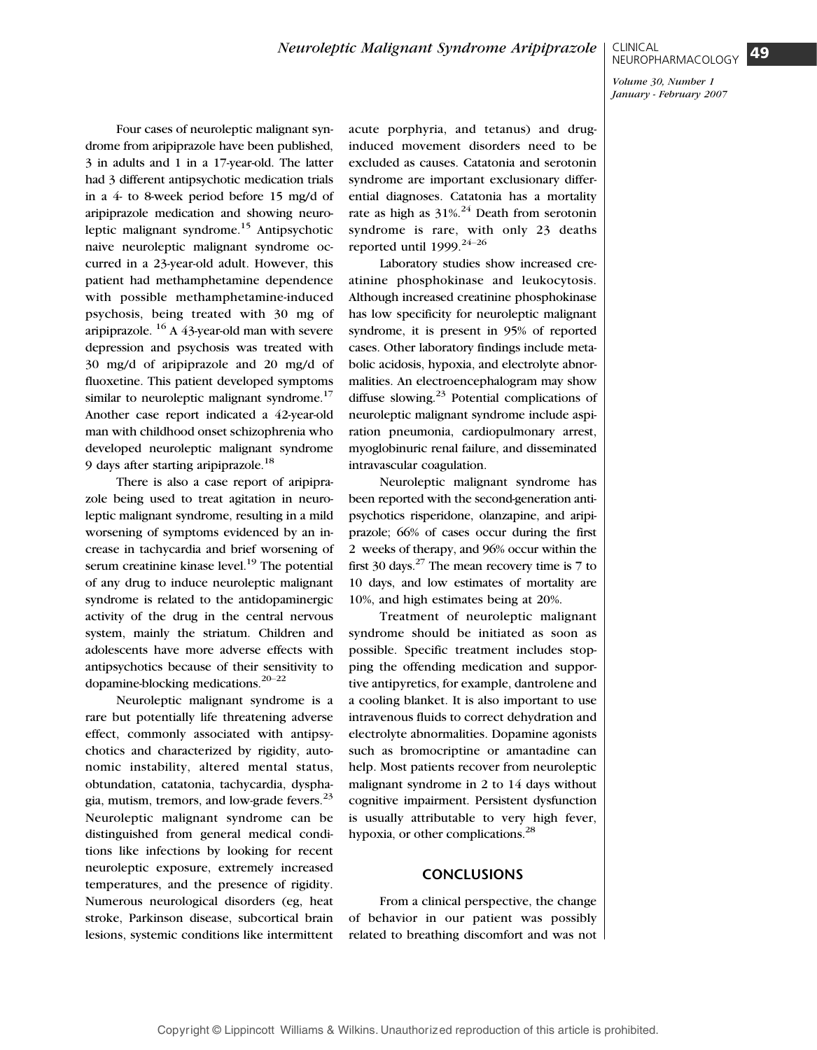Four cases of neuroleptic malignant syndrome from aripiprazole have been published, 3 in adults and 1 in a 17-year-old. The latter had 3 different antipsychotic medication trials in a 4- to 8-week period before 15 mg/d of aripiprazole medication and showing neuroleptic malignant syndrome.<sup>15</sup> Antipsychotic naive neuroleptic malignant syndrome occurred in a 23-year-old adult. However, this patient had methamphetamine dependence with possible methamphetamine-induced psychosis, being treated with 30 mg of aripiprazole.  $^{16}$  A 43-year-old man with severe depression and psychosis was treated with 30 mg/d of aripiprazole and 20 mg/d of fluoxetine. This patient developed symptoms similar to neuroleptic malignant syndrome.<sup>17</sup> Another case report indicated a 42-year-old man with childhood onset schizophrenia who developed neuroleptic malignant syndrome 9 days after starting aripiprazole.<sup>18</sup>

There is also a case report of aripiprazole being used to treat agitation in neuroleptic malignant syndrome, resulting in a mild worsening of symptoms evidenced by an increase in tachycardia and brief worsening of serum creatinine kinase level.<sup>19</sup> The potential of any drug to induce neuroleptic malignant syndrome is related to the antidopaminergic activity of the drug in the central nervous system, mainly the striatum. Children and adolescents have more adverse effects with antipsychotics because of their sensitivity to dopamine-blocking medications. $20-22$ 

Neuroleptic malignant syndrome is a rare but potentially life threatening adverse effect, commonly associated with antipsychotics and characterized by rigidity, autonomic instability, altered mental status, obtundation, catatonia, tachycardia, dysphagia, mutism, tremors, and low-grade fevers. $^{25}$ Neuroleptic malignant syndrome can be distinguished from general medical conditions like infections by looking for recent neuroleptic exposure, extremely increased temperatures, and the presence of rigidity. Numerous neurological disorders (eg, heat stroke, Parkinson disease, subcortical brain lesions, systemic conditions like intermittent acute porphyria, and tetanus) and druginduced movement disorders need to be excluded as causes. Catatonia and serotonin syndrome are important exclusionary differential diagnoses. Catatonia has a mortality rate as high as  $31\%$ .<sup>24</sup> Death from serotonin syndrome is rare, with only 23 deaths reported until  $1999$ .<sup>24-26</sup>

Laboratory studies show increased creatinine phosphokinase and leukocytosis. Although increased creatinine phosphokinase has low specificity for neuroleptic malignant syndrome, it is present in 95% of reported cases. Other laboratory findings include metabolic acidosis, hypoxia, and electrolyte abnormalities. An electroencephalogram may show diffuse slowing. $^{23}$  Potential complications of neuroleptic malignant syndrome include aspiration pneumonia, cardiopulmonary arrest, myoglobinuric renal failure, and disseminated intravascular coagulation.

Neuroleptic malignant syndrome has been reported with the second-generation antipsychotics risperidone, olanzapine, and aripiprazole; 66% of cases occur during the first 2 weeks of therapy, and 96% occur within the first 30 days. $27$  The mean recovery time is 7 to 10 days, and low estimates of mortality are 10%, and high estimates being at 20%.

Treatment of neuroleptic malignant syndrome should be initiated as soon as possible. Specific treatment includes stopping the offending medication and supportive antipyretics, for example, dantrolene and a cooling blanket. It is also important to use intravenous fluids to correct dehydration and electrolyte abnormalities. Dopamine agonists such as bromocriptine or amantadine can help. Most patients recover from neuroleptic malignant syndrome in 2 to 14 days without cognitive impairment. Persistent dysfunction is usually attributable to very high fever, hypoxia, or other complications.<sup>28</sup>

# **CONCLUSIONS**

From a clinical perspective, the change of behavior in our patient was possibly related to breathing discomfort and was not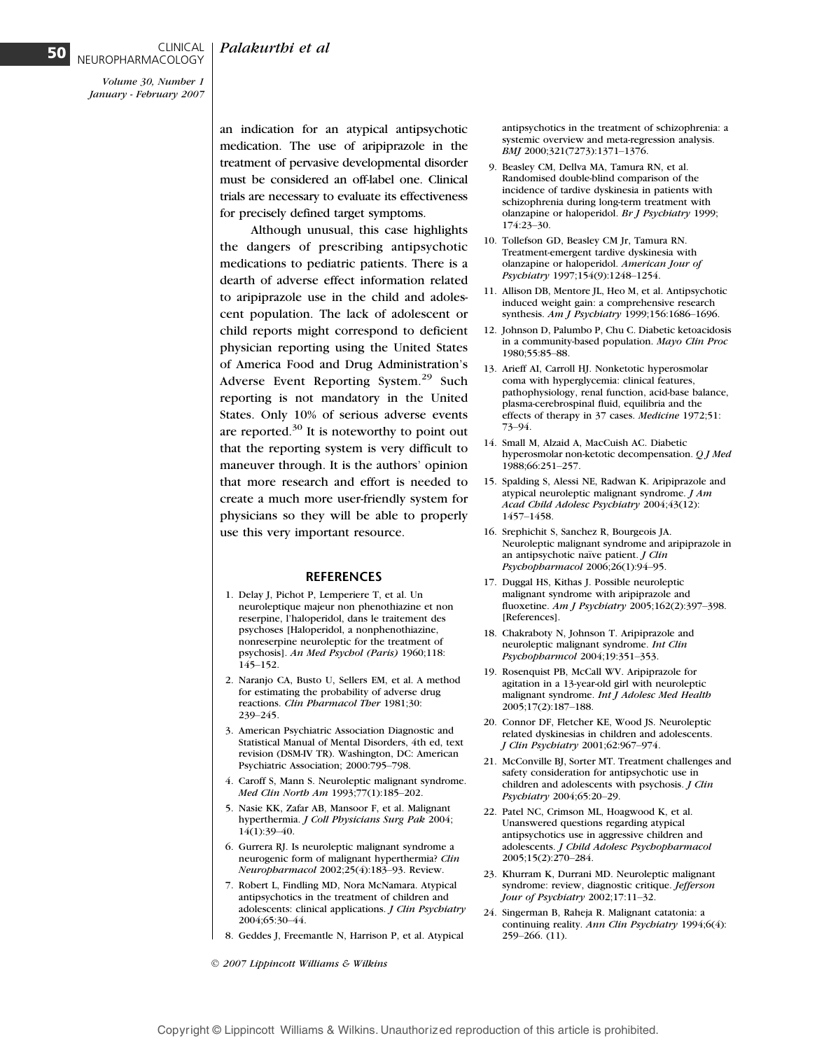## Palakurthi et al

Volume 30, Number 1 January - February 2007

NEUROPHARMACOLOGY

CLINICAL

an indication for an atypical antipsychotic medication. The use of aripiprazole in the treatment of pervasive developmental disorder must be considered an off-label one. Clinical trials are necessary to evaluate its effectiveness for precisely defined target symptoms.

Although unusual, this case highlights the dangers of prescribing antipsychotic medications to pediatric patients. There is a dearth of adverse effect information related to aripiprazole use in the child and adolescent population. The lack of adolescent or child reports might correspond to deficient physician reporting using the United States of America Food and Drug Administration's Adverse Event Reporting System.<sup>29</sup> Such reporting is not mandatory in the United States. Only 10% of serious adverse events are reported. $30$  It is noteworthy to point out that the reporting system is very difficult to maneuver through. It is the authors' opinion that more research and effort is needed to create a much more user-friendly system for physicians so they will be able to properly use this very important resource.

## REFERENCES

- 1. Delay J, Pichot P, Lemperiere T, et al. Un neuroleptique majeur non phenothiazine et non reserpine, l'haloperidol, dans le traitement des psychoses [Haloperidol, a nonphenothiazine, nonreserpine neuroleptic for the treatment of psychosis]. An Med Psychol (Paris) 1960;118: 145-152.
- 2. Naranjo CA, Busto U, Sellers EM, et al. A method for estimating the probability of adverse drug reactions. Clin Pharmacol Ther 1981;30: 239-245.
- 3. American Psychiatric Association Diagnostic and Statistical Manual of Mental Disorders, 4th ed, text revision (DSM-IV TR). Washington, DC: American Psychiatric Association; 2000:795-798.
- 4. Caroff S, Mann S. Neuroleptic malignant syndrome. Med Clin North Am 1993;77(1):185-202.
- 5. Nasie KK, Zafar AB, Mansoor F, et al. Malignant hyperthermia. J Coll Physicians Surg Pak 2004; 14(1):39-40.
- 6. Gurrera RJ. Is neuroleptic malignant syndrome a neurogenic form of malignant hyperthermia? Clin Neuropharmacol 2002;25(4):183-93. Review.
- 7. Robert L, Findling MD, Nora McNamara. Atypical antipsychotics in the treatment of children and adolescents: clinical applications. J Clin Psychiatry 2004;65:30-44.
- 8. Geddes J, Freemantle N, Harrison P, et al. Atypical

2007 Lippincott Williams & Wilkins

antipsychotics in the treatment of schizophrenia: a systemic overview and meta-regression analysis. BMJ 2000;321(7273):1371-1376.

- 9. Beasley CM, Dellva MA, Tamura RN, et al. Randomised double-blind comparison of the incidence of tardive dyskinesia in patients with schizophrenia during long-term treatment with olanzapine or haloperidol. Br J Psychiatry 1999; 174:23-30.
- 10. Tollefson GD, Beasley CM Jr, Tamura RN. Treatment-emergent tardive dyskinesia with olanzapine or haloperidol. American Jour of Psychiatry 1997;154(9):1248-1254.
- 11. Allison DB, Mentore JL, Heo M, et al. Antipsychotic induced weight gain: a comprehensive research synthesis. Am J Psychiatry 1999;156:1686-1696.
- 12. Johnson D, Palumbo P, Chu C. Diabetic ketoacidosis in a community-based population. Mayo Clin Proc 1980;55:85-88.
- 13. Arieff AI, Carroll HJ. Nonketotic hyperosmolar coma with hyperglycemia: clinical features, pathophysiology, renal function, acid-base balance, plasma-cerebrospinal fluid, equilibria and the effects of therapy in 37 cases. Medicine 1972;51: 73-94.
- 14. Small M, Alzaid A, MacCuish AC. Diabetic hyperosmolar non-ketotic decompensation. Q J Med 1988;66:251-257.
- 15. Spalding S, Alessi NE, Radwan K. Aripiprazole and atypical neuroleptic malignant syndrome. J Am Acad Child Adolesc Psychiatry 2004;43(12): 1457-1458.
- 16. Srephichit S, Sanchez R, Bourgeois JA. Neuroleptic malignant syndrome and aripiprazole in an antipsychotic naïve patient. J Clin Psychopharmacol 2006;26(1):94-95.
- 17. Duggal HS, Kithas J. Possible neuroleptic malignant syndrome with aripiprazole and fluoxetine. Am J Psychiatry 2005;162(2):397-398. [References].
- 18. Chakraboty N, Johnson T. Aripiprazole and neuroleptic malignant syndrome. Int Clin Psychopharmcol 2004;19:351-353.
- 19. Rosenquist PB, McCall WV. Aripiprazole for agitation in a 13-year-old girl with neuroleptic malignant syndrome. Int J Adolesc Med Health 2005;17(2):187-188.
- 20. Connor DF, Fletcher KE, Wood JS. Neuroleptic related dyskinesias in children and adolescents. J Clin Psychiatry 2001;62:967-974.
- 21. McConville BJ, Sorter MT. Treatment challenges and safety consideration for antipsychotic use in children and adolescents with psychosis. *J Clin* Psychiatry 2004;65:20-29.
- 22. Patel NC, Crimson ML, Hoagwood K, et al. Unanswered questions regarding atypical antipsychotics use in aggressive children and adolescents. J Child Adolesc Psychopharmacol 2005:15(2):270-284.
- 23. Khurram K, Durrani MD. Neuroleptic malignant syndrome: review, diagnostic critique. Jefferson Jour of Psychiatry 2002;17:11-32.
- 24. Singerman B, Raheja R. Malignant catatonia: a continuing reality. Ann Clin Psychiatry 1994;6(4):  $259 - 266.$  (11).